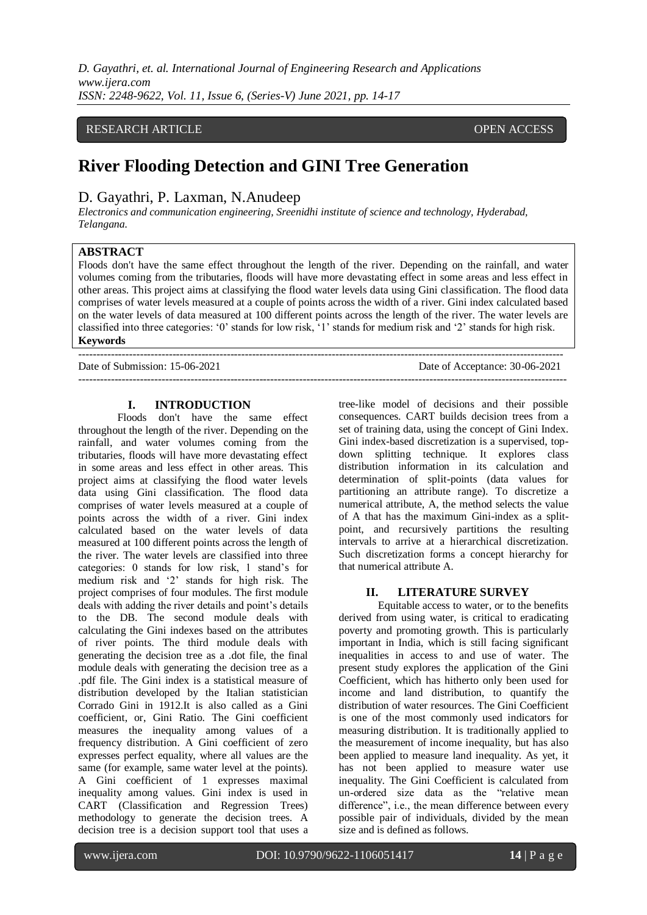*D. Gayathri, et. al. International Journal of Engineering Research and Applications www.ijera.com ISSN: 2248-9622, Vol. 11, Issue 6, (Series-V) June 2021, pp. 14-17*

## RESEARCH ARTICLE **CONTRACT ARTICLE**

# **River Flooding Detection and GINI Tree Generation**

--------------------------------------------------------------------------------------------------------------------------------------

## D. Gayathri, P. Laxman, N.Anudeep

*Electronics and communication engineering, Sreenidhi institute of science and technology, Hyderabad, Telangana.*

## **ABSTRACT**

Floods don't have the same effect throughout the length of the river. Depending on the rainfall, and water volumes coming from the tributaries, floods will have more devastating effect in some areas and less effect in other areas. This project aims at classifying the flood water levels data using Gini classification. The flood data comprises of water levels measured at a couple of points across the width of a river. Gini index calculated based on the water levels of data measured at 100 different points across the length of the river. The water levels are classified into three categories: '0' stands for low risk, '1' stands for medium risk and '2' stands for high risk. **Keywords** 

Date of Submission: 15-06-2021 Date of Acceptance: 30-06-2021

#### **I. INTRODUCTION**

Floods don't have the same effect throughout the length of the river. Depending on the rainfall, and water volumes coming from the tributaries, floods will have more devastating effect in some areas and less effect in other areas. This project aims at classifying the flood water levels data using Gini classification. The flood data comprises of water levels measured at a couple of points across the width of a river. Gini index calculated based on the water levels of data measured at 100 different points across the length of the river. The water levels are classified into three categories: 0 stands for low risk, 1 stand's for medium risk and '2' stands for high risk. The project comprises of four modules. The first module deals with adding the river details and point's details to the DB. The second module deals with calculating the Gini indexes based on the attributes of river points. The third module deals with generating the decision tree as a .dot file, the final module deals with generating the decision tree as a .pdf file. The Gini index is a statistical measure of distribution developed by the Italian statistician Corrado Gini in 1912.It is also called as a Gini coefficient, or, Gini Ratio. The Gini coefficient measures the inequality among values of a frequency distribution. A Gini coefficient of zero expresses perfect equality, where all values are the same (for example, same water level at the points). A Gini coefficient of 1 expresses maximal inequality among values. Gini index is used in CART (Classification and Regression Trees) methodology to generate the decision trees. A decision tree is a decision support tool that uses a

tree-like model of decisions and their possible consequences. CART builds decision trees from a set of training data, using the concept of Gini Index. Gini index-based discretization is a supervised, topdown splitting technique. It explores class distribution information in its calculation and determination of split-points (data values for partitioning an attribute range). To discretize a numerical attribute, A, the method selects the value of A that has the maximum Gini-index as a splitpoint, and recursively partitions the resulting intervals to arrive at a hierarchical discretization. Such discretization forms a concept hierarchy for that numerical attribute A.

 $-1\leq i\leq n-1$ 

## **II. LITERATURE SURVEY**

Equitable access to water, or to the benefits derived from using water, is critical to eradicating poverty and promoting growth. This is particularly important in India, which is still facing significant inequalities in access to and use of water. The present study explores the application of the Gini Coefficient, which has hitherto only been used for income and land distribution, to quantify the distribution of water resources. The Gini Coefficient is one of the most commonly used indicators for measuring distribution. It is traditionally applied to the measurement of income inequality, but has also been applied to measure land inequality. As yet, it has not been applied to measure water use inequality. The Gini Coefficient is calculated from un-ordered size data as the "relative mean difference", i.e., the mean difference between every possible pair of individuals, divided by the mean size and is defined as follows.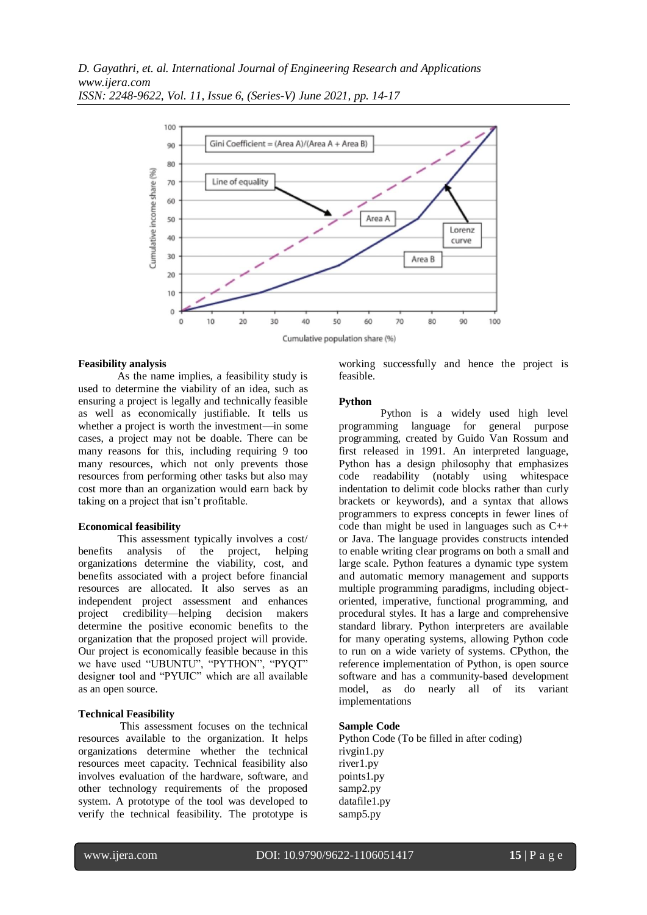

*ISSN: 2248-9622, Vol. 11, Issue 6, (Series-V) June 2021, pp. 14-17*

## **Feasibility analysis**

As the name implies, a feasibility study is used to determine the viability of an idea, such as ensuring a project is legally and technically feasible as well as economically justifiable. It tells us whether a project is worth the investment—in some cases, a project may not be doable. There can be many reasons for this, including requiring 9 too many resources, which not only prevents those resources from performing other tasks but also may cost more than an organization would earn back by taking on a project that isn't profitable.

#### **Economical feasibility**

This assessment typically involves a cost/ benefits analysis of the project, helping organizations determine the viability, cost, and benefits associated with a project before financial resources are allocated. It also serves as an independent project assessment and enhances project credibility—helping decision makers determine the positive economic benefits to the organization that the proposed project will provide. Our project is economically feasible because in this we have used "UBUNTU", "PYTHON", "PYQT" designer tool and "PYUIC" which are all available as an open source.

#### **Technical Feasibility**

This assessment focuses on the technical resources available to the organization. It helps organizations determine whether the technical resources meet capacity. Technical feasibility also involves evaluation of the hardware, software, and other technology requirements of the proposed system. A prototype of the tool was developed to verify the technical feasibility. The prototype is working successfully and hence the project is feasible.

#### **Python**

Python is a widely used high level programming language for general purpose programming, created by Guido Van Rossum and first released in 1991. An interpreted language, Python has a design philosophy that emphasizes code readability (notably using whitespace indentation to delimit code blocks rather than curly brackets or keywords), and a syntax that allows programmers to express concepts in fewer lines of code than might be used in languages such as C++ or Java. The language provides constructs intended to enable writing clear programs on both a small and large scale. Python features a dynamic type system and automatic memory management and supports multiple programming paradigms, including objectoriented, imperative, functional programming, and procedural styles. It has a large and comprehensive standard library. Python interpreters are available for many operating systems, allowing Python code to run on a wide variety of systems. CPython, the reference implementation of Python, is open source software and has a community-based development model, as do nearly all of its variant implementations

#### **Sample Code**

Python Code (To be filled in after coding) rivgin1.py river1.py points1.py samp2.py datafile1.py samp5.py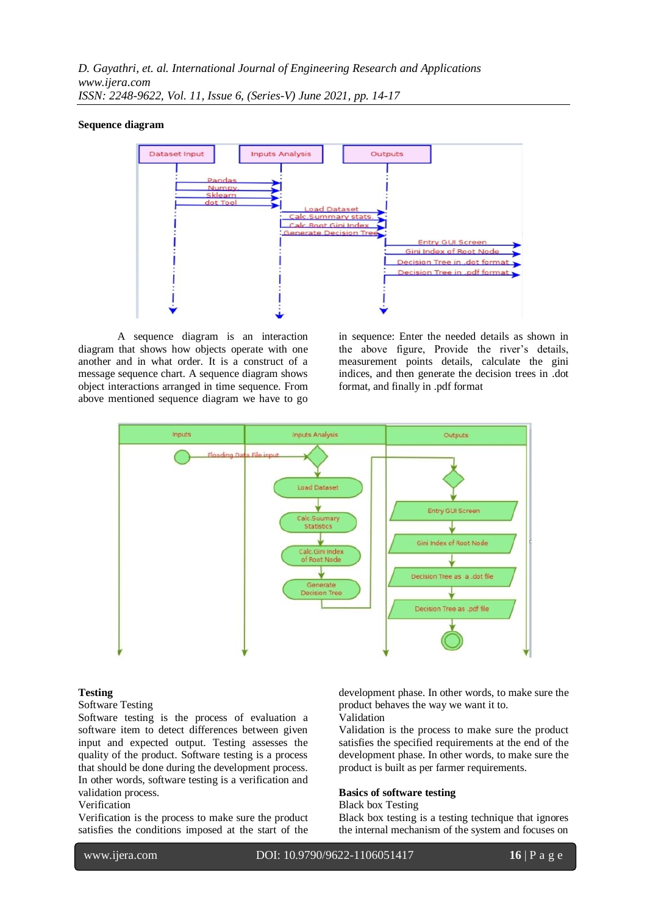#### **Sequence diagram**



A sequence diagram is an interaction diagram that shows how objects operate with one another and in what order. It is a construct of a message sequence chart. A sequence diagram shows object interactions arranged in time sequence. From above mentioned sequence diagram we have to go in sequence: Enter the needed details as shown in the above figure, Provide the river's details, measurement points details, calculate the gini indices, and then generate the decision trees in .dot format, and finally in .pdf format



#### **Testing**

Software Testing

Software testing is the process of evaluation a software item to detect differences between given input and expected output. Testing assesses the quality of the product. Software testing is a process that should be done during the development process. In other words, software testing is a verification and validation process.

#### Verification

Verification is the process to make sure the product satisfies the conditions imposed at the start of the development phase. In other words, to make sure the product behaves the way we want it to.

Validation

Validation is the process to make sure the product satisfies the specified requirements at the end of the development phase. In other words, to make sure the product is built as per farmer requirements.

## **Basics of software testing**

Black box Testing

Black box testing is a testing technique that ignores the internal mechanism of the system and focuses on